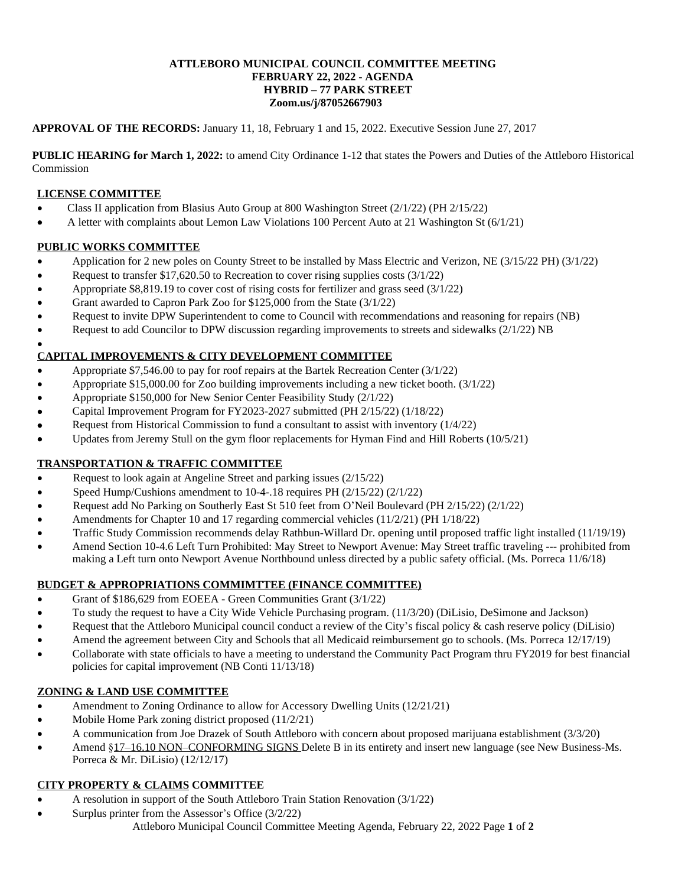#### **ATTLEBORO MUNICIPAL COUNCIL COMMITTEE MEETING FEBRUARY 22, 2022 - AGENDA HYBRID – 77 PARK STREET Zoom.us/j/87052667903**

### **APPROVAL OF THE RECORDS:** January 11, 18, February 1 and 15, 2022. Executive Session June 27, 2017

**PUBLIC HEARING for March 1, 2022:** to amend City Ordinance 1-12 that states the Powers and Duties of the Attleboro Historical Commission

## **LICENSE COMMITTEE**

- Class II application from Blasius Auto Group at 800 Washington Street (2/1/22) (PH 2/15/22)
- A letter with complaints about Lemon Law Violations 100 Percent Auto at 21 Washington St (6/1/21)

### **PUBLIC WORKS COMMITTEE**

- Application for 2 new poles on County Street to be installed by Mass Electric and Verizon, NE (3/15/22 PH) (3/1/22)
- Request to transfer \$17,620.50 to Recreation to cover rising supplies costs (3/1/22)
- Appropriate \$8,819.19 to cover cost of rising costs for fertilizer and grass seed (3/1/22)
- Grant awarded to Capron Park Zoo for \$125,000 from the State (3/1/22)
- Request to invite DPW Superintendent to come to Council with recommendations and reasoning for repairs (NB)
- Request to add Councilor to DPW discussion regarding improvements to streets and sidewalks (2/1/22) NB

#### $\bullet$ **CAPITAL IMPROVEMENTS & CITY DEVELOPMENT COMMITTEE**

- Appropriate \$7,546.00 to pay for roof repairs at the Bartek Recreation Center (3/1/22)
- Appropriate \$15,000.00 for Zoo building improvements including a new ticket booth. (3/1/22)
- Appropriate \$150,000 for New Senior Center Feasibility Study (2/1/22)
- Capital Improvement Program for FY2023-2027 submitted (PH 2/15/22) (1/18/22)
- Request from Historical Commission to fund a consultant to assist with inventory (1/4/22)
- Updates from Jeremy Stull on the gym floor replacements for Hyman Find and Hill Roberts (10/5/21)

# **TRANSPORTATION & TRAFFIC COMMITTEE**

- Request to look again at Angeline Street and parking issues (2/15/22)
- Speed Hump/Cushions amendment to 10-4-.18 requires PH (2/15/22) (2/1/22)
- Request add No Parking on Southerly East St 510 feet from O'Neil Boulevard (PH 2/15/22) (2/1/22)
- Amendments for Chapter 10 and 17 regarding commercial vehicles (11/2/21) (PH 1/18/22)
- Traffic Study Commission recommends delay Rathbun-Willard Dr. opening until proposed traffic light installed (11/19/19)
- Amend Section 10-4.6 Left Turn Prohibited: May Street to Newport Avenue: May Street traffic traveling --- prohibited from making a Left turn onto Newport Avenue Northbound unless directed by a public safety official. (Ms. Porreca 11/6/18)

# **BUDGET & APPROPRIATIONS COMMIMTTEE (FINANCE COMMITTEE)**

- Grant of \$186,629 from EOEEA Green Communities Grant (3/1/22)
- To study the request to have a City Wide Vehicle Purchasing program. (11/3/20) (DiLisio, DeSimone and Jackson)
- Request that the Attleboro Municipal council conduct a review of the City's fiscal policy & cash reserve policy (DiLisio)
- Amend the agreement between City and Schools that all Medicaid reimbursement go to schools. (Ms. Porreca 12/17/19)
- Collaborate with state officials to have a meeting to understand the Community Pact Program thru FY2019 for best financial policies for capital improvement (NB Conti 11/13/18)

# **ZONING & LAND USE COMMITTEE**

- Amendment to Zoning Ordinance to allow for Accessory Dwelling Units (12/21/21)
- Mobile Home Park zoning district proposed (11/2/21)
- A communication from Joe Drazek of South Attleboro with concern about proposed marijuana establishment (3/3/20)
- Amend §17–16.10 NON–CONFORMING SIGNS Delete B in its entirety and insert new language (see New Business-Ms. Porreca & Mr. DiLisio) (12/12/17)

# **CITY PROPERTY & CLAIMS COMMITTEE**

- A resolution in support of the South Attleboro Train Station Renovation (3/1/22)
- Attleboro Municipal Council Committee Meeting Agenda, February 22, 2022 Page **1** of **2** Surplus printer from the Assessor's Office (3/2/22)